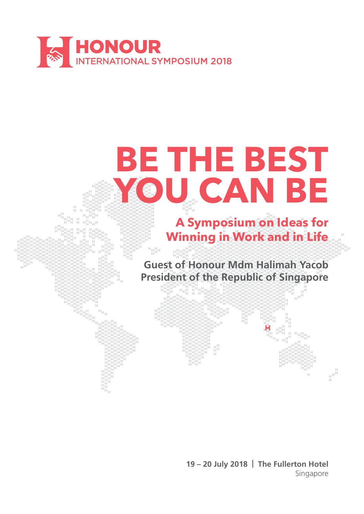



**19 – 20 July 2018 | The Fullerton Hotel** Singapore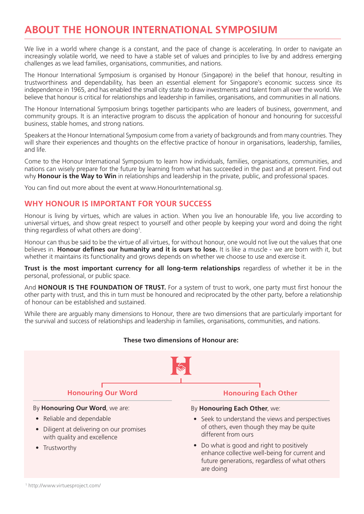# **ABOUT THE HONOUR INTERNATIONAL SYMPOSIUM**

We live in a world where change is a constant, and the pace of change is accelerating. In order to navigate an increasingly volatile world, we need to have a stable set of values and principles to live by and address emerging challenges as we lead families, organisations, communities, and nations.

The Honour International Symposium is organised by Honour (Singapore) in the belief that honour, resulting in trustworthiness and dependability, has been an essential element for Singapore's economic success since its independence in 1965, and has enabled the small city state to draw investments and talent from all over the world. We believe that honour is critical for relationships and leadership in families, organisations, and communities in all nations.

The Honour International Symposium brings together participants who are leaders of business, government, and community groups. It is an interactive program to discuss the application of honour and honouring for successful business, stable homes, and strong nations.

Speakers at the Honour International Symposium come from a variety of backgrounds and from many countries. They will share their experiences and thoughts on the effective practice of honour in organisations, leadership, families, and life.

Come to the Honour International Symposium to learn how individuals, families, organisations, communities, and nations can wisely prepare for the future by learning from what has succeeded in the past and at present. Find out why **Honour is the Way to Win** in relationships and leadership in the private, public, and professional spaces.

You can find out more about the event at www.HonourInternational.sg.

## **WHY HONOUR IS IMPORTANT FOR YOUR SUCCESS**

Honour is living by virtues, which are values in action. When you live an honourable life, you live according to universal virtues, and show great respect to yourself and other people by keeping your word and doing the right thing regardless of what others are doing $^{\rm 1}.$ 

Honour can thus be said to be the virtue of all virtues, for without honour, one would not live out the values that one believes in. **Honour defines our humanity and it is ours to lose.** It is like a muscle - we are born with it, but whether it maintains its functionality and grows depends on whether we choose to use and exercise it.

**Trust is the most important currency for all long-term relationships** regardless of whether it be in the personal, professional, or public space.

And **HONOUR IS THE FOUNDATION OF TRUST.** For a system of trust to work, one party must first honour the other party with trust, and this in turn must be honoured and reciprocated by the other party, before a relationship of honour can be established and sustained.

While there are arguably many dimensions to Honour, there are two dimensions that are particularly important for the survival and success of relationships and leadership in families, organisations, communities, and nations.

#### **These two dimensions of Honour are:**



By **Honouring Our Word**, we are:

- Reliable and dependable
- Diligent at delivering on our promises with quality and excellence
- Trustworthy

### **Honouring Our Word <b>Honouring Each Other**

#### By **Honouring Each Other**, we:

- Seek to understand the views and perspectives of others, even though they may be quite different from ours
- Do what is good and right to positively enhance collective well-being for current and future generations, regardless of what others<br>are doing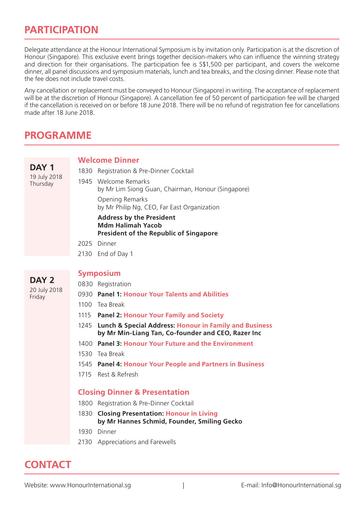# **PARTICIPATION**

Delegate attendance at the Honour International Symposium is by invitation only. Participation is at the discretion of Honour (Singapore). This exclusive event brings together decision-makers who can influence the winning strategy and direction for their organisations. The participation fee is S\$1,500 per participant, and covers the welcome dinner, all panel discussions and symposium materials, lunch and tea breaks, and the closing dinner. Please note that the fee does not include travel costs.

Any cancellation or replacement must be conveyed to Honour (Singapore) in writing. The acceptance of replacement will be at the discretion of Honour (Singapore). A cancellation fee of 50 percent of participation fee will be charged if the cancellation is received on or before 18 June 2018. There will be no refund of registration fee for cancellations made after 18 June 2018

# **PROGRAMME**

**DAY 1** 19 July 2018 **Thursday** 

#### **Welcome Dinner**

| 1830 Registration & Pre-Dinner Cocktail                                                                      |
|--------------------------------------------------------------------------------------------------------------|
| 1945 Welcome Remarks<br>by Mr Lim Siong Guan, Chairman, Honour (Singapore)                                   |
| Opening Remarks<br>by Mr Philip Ng, CEO, Far East Organization                                               |
| <b>Address by the President</b><br><b>Mdm Halimah Yacob</b><br><b>President of the Republic of Singapore</b> |
| 2025 Dinner                                                                                                  |
|                                                                                                              |

2130 End of Day 1

### **DAY 2** 20 July 2018

**Friday** 

## **Symposium** 0830 Registration

- 0930 **Panel 1: Honour Your Talents and Abilities**
- 1100 Tea Break
- 1115 **Panel 2: Honour Your Family and Society**
- 1245 **Lunch & Special Address: Honour in Family and Business by Mr Min-Liang Tan, Co-founder and CEO, Razer Inc**
- 1400 **Panel 3: Honour Your Future and the Environment**
- 1530 Tea Break
- 1545 **Panel 4: Honour Your People and Partners in Business**
- 1715 Rest & Refresh

## **Closing Dinner & Presentation**

- 1800 Registration & Pre-Dinner Cocktail
- 1830 **Closing Presentation: Honour in Living by Mr Hannes Schmid, Founder, Smiling Gecko**
- 1930 Dinner
- 2130 Appreciations and Farewells

# are doing **CONTACT**